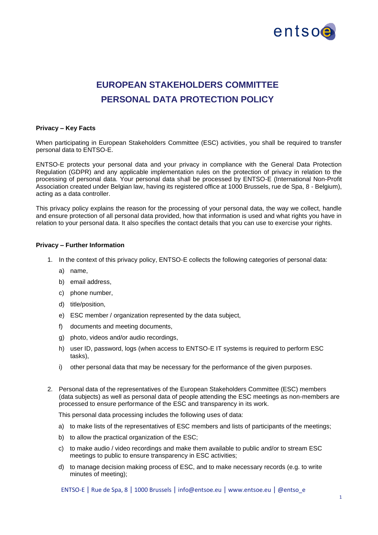

## **EUROPEAN STAKEHOLDERS COMMITTEE PERSONAL DATA PROTECTION POLICY**

## **Privacy – Key Facts**

When participating in European Stakeholders Committee (ESC) activities, you shall be required to transfer personal data to ENTSO-E.

ENTSO-E protects your personal data and your privacy in compliance with the General Data Protection Regulation (GDPR) and any applicable implementation rules on the protection of privacy in relation to the processing of personal data. Your personal data shall be processed by ENTSO-E (International Non-Profit Association created under Belgian law, having its registered office at 1000 Brussels, rue de Spa, 8 - Belgium), acting as a data controller.

This privacy policy explains the reason for the processing of your personal data, the way we collect, handle and ensure protection of all personal data provided, how that information is used and what rights you have in relation to your personal data. It also specifies the contact details that you can use to exercise your rights.

## **Privacy – Further Information**

- 1. In the context of this privacy policy, ENTSO-E collects the following categories of personal data:
	- a) name,
	- b) email address,
	- c) phone number,
	- d) title/position,
	- e) ESC member / organization represented by the data subject,
	- f) documents and meeting documents,
	- g) photo, videos and/or audio recordings,
	- h) user ID, password, logs (when access to ENTSO-E IT systems is required to perform ESC tasks),
	- i) other personal data that may be necessary for the performance of the given purposes.
- 2. Personal data of the representatives of the European Stakeholders Committee (ESC) members (data subjects) as well as personal data of people attending the ESC meetings as non-members are processed to ensure performance of the ESC and transparency in its work.

This personal data processing includes the following uses of data:

- a) to make lists of the representatives of ESC members and lists of participants of the meetings;
- b) to allow the practical organization of the ESC;
- c) to make audio / video recordings and make them available to public and/or to stream ESC meetings to public to ensure transparency in ESC activities;
- d) to manage decision making process of ESC, and to make necessary records (e.g. to write minutes of meeting);

ENTSO-E | Rue de Spa, 8 | 1000 Brussels | info@entsoe.eu | www.entsoe.eu | @entso\_e